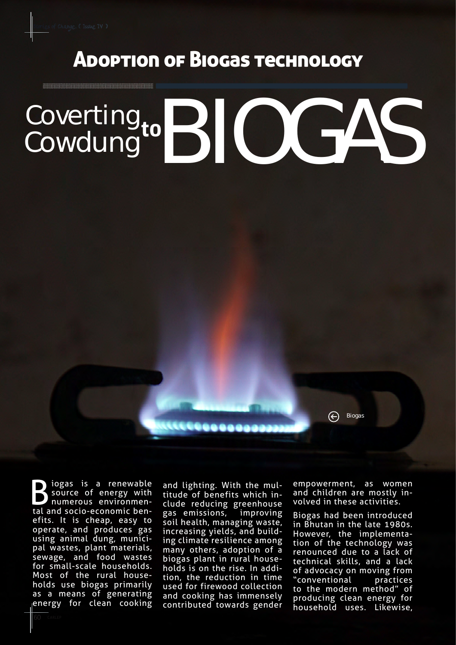<u> 1999 - John Stone, Amerikaansk konst</u>

## Adoption of Biogas technology

## Coverting Coverting to BIOGAS to

Biogas is a renewable<br>Source of energy with<br>tal and socio-economic bensource of energy with numerous environmental and socio-economic benefits. It is cheap, easy to operate, and produces gas using animal dung, municipal wastes, plant materials, sewage, and food wastes for small-scale households. Most of the rural households use biogas primarily as a means of generating energy for clean cooking

and lighting. With the multitude of benefits which include reducing greenhouse gas emissions, improving soil health, managing waste, increasing yields, and building climate resilience among many others, adoption of a biogas plant in rural households is on the rise. In addition, the reduction in time used for firewood collection and cooking has immensely contributed towards gender empowerment, as women and children are mostly involved in these activities.

Biogas

 $\bigoplus$ 

Biogas had been introduced in Bhutan in the late 1980s. However, the implementation of the technology was renounced due to a lack of technical skills, and a lack of advocacy on moving from "conventional practices to the modern method" of producing clean energy for household uses. Likewise,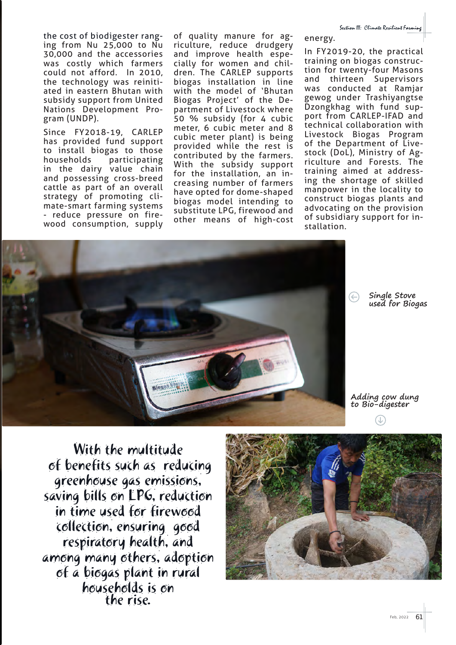the cost of biodigester ranging from Nu 25,000 to Nu 30,000 and the accessories was costly which farmers could not afford. In 2010, the technology was reinitiated in eastern Bhutan with subsidy support from United Nations Development Program (UNDP).

Since FY2018-19, CARLEP has provided fund support to install biogas to those households participating in the dairy value chain and possessing cross-breed cattle as part of an overall strategy of promoting climate-smart farming systems - reduce pressure on firewood consumption, supply

of quality manure for agriculture, reduce drudgery and improve health especially for women and children. The CARLEP supports biogas installation in line with the model of 'Bhutan Biogas Project' of the Department of Livestock where 50 % subsidy (for 4 cubic meter, 6 cubic meter and 8 cubic meter plant) is being provided while the rest is contributed by the farmers. With the subsidy support for the installation, an increasing number of farmers have opted for dome-shaped biogas model intending to substitute LPG, firewood and other means of high-cost

In FY2019-20, the practical training on biogas construction for twenty-four Masons and thirteen Supervisors was conducted at Ramjar gewog under Trashiyangtse Dzongkhag with fund support from CARLEP-IFAD and technical collaboration with Livestock Biogas Program of the Department of Livestock (DoL), Ministry of Agriculture and Forests. The training aimed at addressing the shortage of skilled manpower in the locality to construct biogas plants and advocating on the provision of subsidiary support for installation.



**Single Stove used for Biogas**

**Adding cow dung to Bio-digester**

With the multitude of benefits such as reducing greenhouse gas emissions, saving bills on LPG, reduction in time used for firewood collection, ensuring good respiratory health, and among many others, adoption of a biogas plant in rural households is on the rise.



energy.